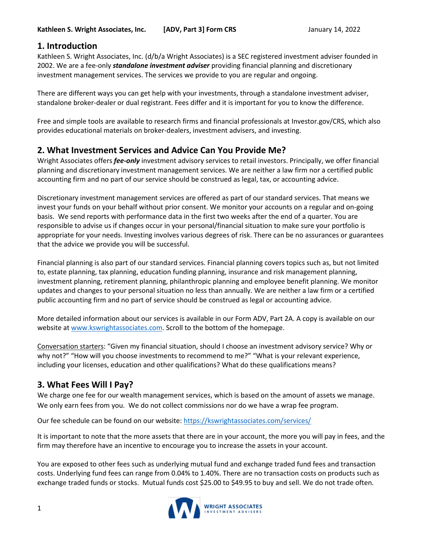### **1. Introduction**

Kathleen S. Wright Associates, Inc. (d/b/a Wright Associates) is a SEC registered investment adviser founded in 2002. We are a fee-only *standalone investment adviser* providing financial planning and discretionary investment management services. The services we provide to you are regular and ongoing.

There are different ways you can get help with your investments, through a standalone investment adviser, standalone broker-dealer or dual registrant. Fees differ and it is important for you to know the difference.

Free and simple tools are available to research firms and financial professionals at Investor.gov/CRS, which also provides educational materials on broker-dealers, investment advisers, and investing.

## **2. What Investment Services and Advice Can You Provide Me?**

Wright Associates offers *fee-only* investment advisory services to retail investors. Principally, we offer financial planning and discretionary investment management services. We are neither a law firm nor a certified public accounting firm and no part of our service should be construed as legal, tax, or accounting advice.

Discretionary investment management services are offered as part of our standard services. That means we invest your funds on your behalf without prior consent. We monitor your accounts on a regular and on-going basis. We send reports with performance data in the first two weeks after the end of a quarter. You are responsible to advise us if changes occur in your personal/financial situation to make sure your portfolio is appropriate for your needs. Investing involves various degrees of risk. There can be no assurances or guarantees that the advice we provide you will be successful.

Financial planning is also part of our standard services. Financial planning covers topics such as, but not limited to, estate planning, tax planning, education funding planning, insurance and risk management planning, investment planning, retirement planning, philanthropic planning and employee benefit planning. We monitor updates and changes to your personal situation no less than annually. We are neither a law firm or a certified public accounting firm and no part of service should be construed as legal or accounting advice.

More detailed information about our services is available in our Form ADV, Part 2A. A copy is available on our website at [www.kswrightassociates.com.](http://www.kswrightassociates.com/) Scroll to the bottom of the homepage.

Conversation starters: "Given my financial situation, should I choose an investment advisory service? Why or why not?" "How will you choose investments to recommend to me?" "What is your relevant experience, including your licenses, education and other qualifications? What do these qualifications means?

## **3. What Fees Will I Pay?**

We charge one fee for our wealth management services, which is based on the amount of assets we manage. We only earn fees from you. We do not collect commissions nor do we have a wrap fee program.

Our fee schedule can be found on our website:<https://kswrightassociates.com/services/>

It is important to note that the more assets that there are in your account, the more you will pay in fees, and the firm may therefore have an incentive to encourage you to increase the assets in your account.

You are exposed to other fees such as underlying mutual fund and exchange traded fund fees and transaction costs. Underlying fund fees can range from 0.04% to 1.40%. There are no transaction costs on products such as exchange traded funds or stocks. Mutual funds cost \$25.00 to \$49.95 to buy and sell. We do not trade often.